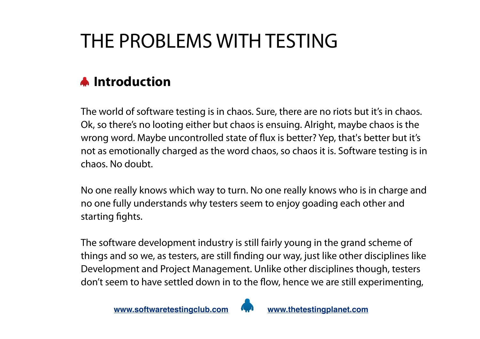# THE PROBLEMS WITH TESTING

## **A** Introduction

The world of software testing is in chaos. Sure, there are no riots but it's in chaos. Ok, so there's no looting either but chaos is ensuing. Alright, maybe chaos is the wrong word. Maybe uncontrolled state of flux is better? Yep, that's better but it's not as emotionally charged as the word chaos, so chaos it is. Software testing is in chaos. No doubt.

No one really knows which way to turn. No one really knows who is in charge and no one fully understands why testers seem to enjoy goading each other and starting fights.

The software development industry is still fairly young in the grand scheme of things and so we, as testers, are still finding our way, just like other disciplines like Development and Project Management. Unlike other disciplines though, testers don't seem to have settled down in to the flow, hence we are still experimenting,

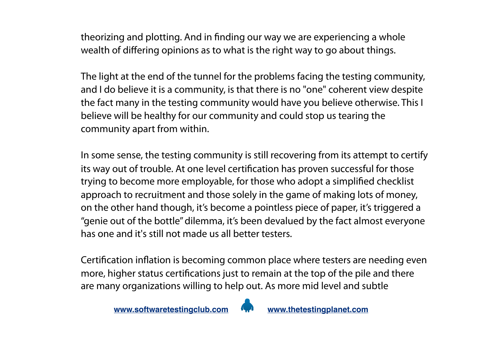theorizing and plotting. And in finding our way we are experiencing a whole wealth of differing opinions as to what is the right way to go about things.

The light at the end of the tunnel for the problems facing the testing community, and I do believe it is a community, is that there is no "one" coherent view despite the fact many in the testing community would have you believe otherwise. This I believe will be healthy for our community and could stop us tearing the community apart from within.

In some sense, the testing community is still recovering from its attempt to certify its way out of trouble. At one level certification has proven successful for those trying to become more employable, for those who adopt a simplified checklist approach to recruitment and those solely in the game of making lots of money, on the other hand though, it's become a pointless piece of paper, it's triggered a "genie out of the bottle" dilemma, it's been devalued by the fact almost everyone has one and it's still not made us all better testers.

Certification inflation is becoming common place where testers are needing even more, higher status certifications just to remain at the top of the pile and there are many organizations willing to help out. As more mid level and subtle

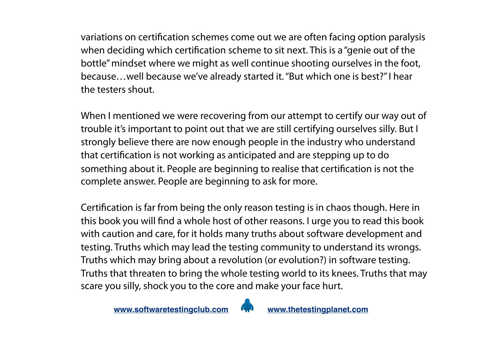variations on certification schemes come out we are often facing option paralysis when deciding which certification scheme to sit next. This is a "genie out of the bottle" mindset where we might as well continue shooting ourselves in the foot, because…well because we've already started it. "But which one is best?" I hear the testers shout.

When I mentioned we were recovering from our attempt to certify our way out of trouble it's important to point out that we are still certifying ourselves silly. But I strongly believe there are now enough people in the industry who understand that certification is not working as anticipated and are stepping up to do something about it. People are beginning to realise that certification is not the complete answer. People are beginning to ask for more.

Certification is far from being the only reason testing is in chaos though. Here in this book you will find a whole host of other reasons. I urge you to read this book with caution and care, for it holds many truths about software development and testing. Truths which may lead the testing community to understand its wrongs. Truths which may bring about a revolution (or evolution?) in software testing. Truths that threaten to bring the whole testing world to its knees. Truths that may scare you silly, shock you to the core and make your face hurt.

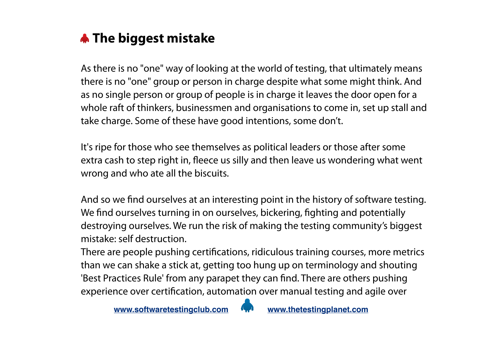

As there is no "one" way of looking at the world of testing, that ultimately means there is no "one" group or person in charge despite what some might think. And as no single person or group of people is in charge it leaves the door open for a whole raft of thinkers, businessmen and organisations to come in, set up stall and take charge. Some of these have good intentions, some don't.

It's ripe for those who see themselves as political leaders or those after some extra cash to step right in, fleece us silly and then leave us wondering what went wrong and who ate all the biscuits.

And so we find ourselves at an interesting point in the history of software testing. We find ourselves turning in on ourselves, bickering, fighting and potentially destroying ourselves. We run the risk of making the testing community's biggest mistake: self destruction.

There are people pushing certifications, ridiculous training courses, more metrics than we can shake a stick at, getting too hung up on terminology and shouting 'Best Practices Rule' from any parapet they can find. There are others pushing experience over certification, automation over manual testing and agile over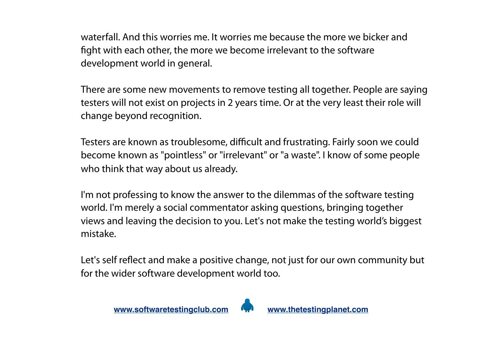waterfall. And this worries me. It worries me because the more we bicker and fight with each other, the more we become irrelevant to the software development world in general.

There are some new movements to remove testing all together. People are saying testers will not exist on projects in 2 years time. Or at the very least their role will change beyond recognition.

Testers are known as troublesome, difficult and frustrating. Fairly soon we could become known as "pointless" or "irrelevant" or "a waste". I know of some people who think that way about us already.

I'm not professing to know the answer to the dilemmas of the software testing world. I'm merely a social commentator asking questions, bringing together views and leaving the decision to you. Let's not make the testing world's biggest mistake.

Let's self reflect and make a positive change, not just for our own community but for the wider software development world too.

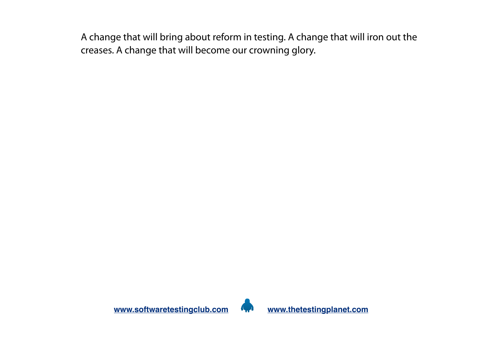A change that will bring about reform in testing. A change that will iron out the creases. A change that will become our crowning glory.

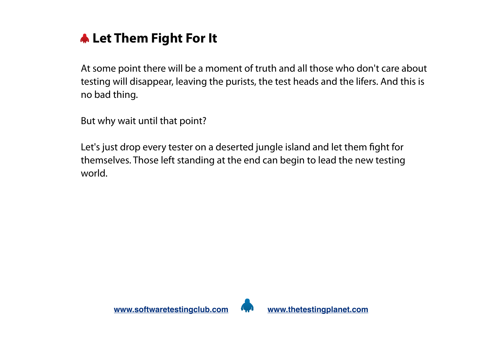

At some point there will be a moment of truth and all those who don't care about testing will disappear, leaving the purists, the test heads and the lifers. And this is no bad thing.

But why wait until that point?

Let's just drop every tester on a deserted jungle island and let them fight for themselves. Those left standing at the end can begin to lead the new testing world.

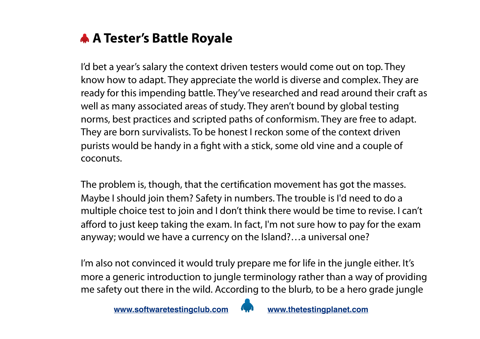

I'd bet a year's salary the context driven testers would come out on top. They know how to adapt. They appreciate the world is diverse and complex. They are ready for this impending battle. They've researched and read around their craft as well as many associated areas of study. They aren't bound by global testing norms, best practices and scripted paths of conformism. They are free to adapt. They are born survivalists. To be honest I reckon some of the context driven purists would be handy in a fight with a stick, some old vine and a couple of coconuts.

The problem is, though, that the certification movement has got the masses. Maybe I should join them? Safety in numbers. The trouble is I'd need to do a multiple choice test to join and I don't think there would be time to revise. I can't afford to just keep taking the exam. In fact, I'm not sure how to pay for the exam anyway; would we have a currency on the Island?…a universal one?

I'm also not convinced it would truly prepare me for life in the jungle either. It's more a generic introduction to jungle terminology rather than a way of providing me safety out there in the wild. According to the blurb, to be a hero grade jungle

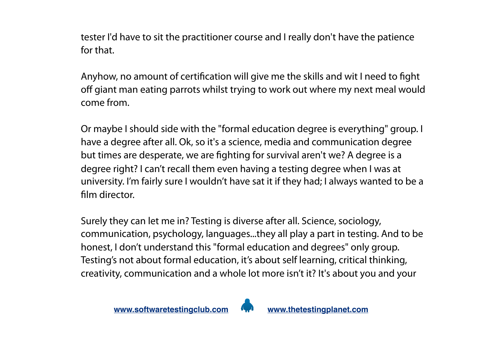tester I'd have to sit the practitioner course and I really don't have the patience for that.

Anyhow, no amount of certification will give me the skills and wit I need to fight off giant man eating parrots whilst trying to work out where my next meal would come from.

Or maybe I should side with the "formal education degree is everything" group. I have a degree after all. Ok, so it's a science, media and communication degree but times are desperate, we are fighting for survival aren't we? A degree is a degree right? I can't recall them even having a testing degree when I was at university. I'm fairly sure I wouldn't have sat it if they had; I always wanted to be a film director.

Surely they can let me in? Testing is diverse after all. Science, sociology, communication, psychology, languages...they all play a part in testing. And to be honest, I don't understand this "formal education and degrees" only group. Testing's not about formal education, it's about self learning, critical thinking, creativity, communication and a whole lot more isn't it? It's about you and your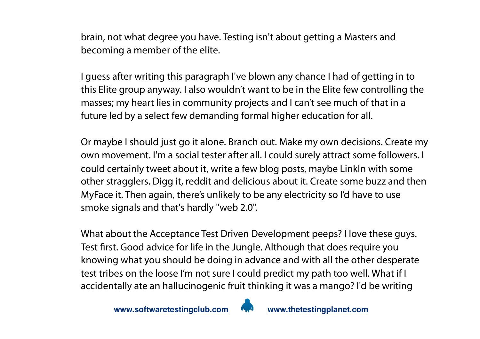brain, not what degree you have. Testing isn't about getting a Masters and becoming a member of the elite.

I guess after writing this paragraph I've blown any chance I had of getting in to this Elite group anyway. I also wouldn't want to be in the Elite few controlling the masses; my heart lies in community projects and I can't see much of that in a future led by a select few demanding formal higher education for all.

Or maybe I should just go it alone. Branch out. Make my own decisions. Create my own movement. I'm a social tester after all. I could surely attract some followers. I could certainly tweet about it, write a few blog posts, maybe LinkIn with some other stragglers. Digg it, reddit and delicious about it. Create some buzz and then MyFace it. Then again, there's unlikely to be any electricity so I'd have to use smoke signals and that's hardly "web 2.0".

What about the Acceptance Test Driven Development peeps? I love these guys. Test first. Good advice for life in the Jungle. Although that does require you knowing what you should be doing in advance and with all the other desperate test tribes on the loose I'm not sure I could predict my path too well. What if I accidentally ate an hallucinogenic fruit thinking it was a mango? I'd be writing

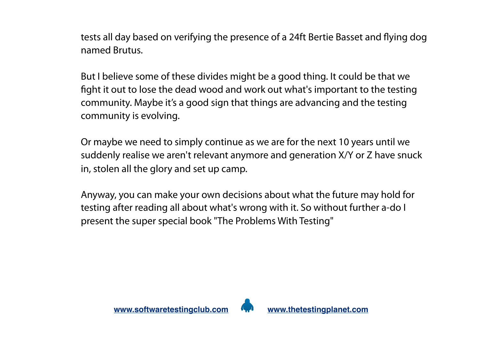tests all day based on verifying the presence of a 24ft Bertie Basset and flying dog named Brutus.

But I believe some of these divides might be a good thing. It could be that we fight it out to lose the dead wood and work out what's important to the testing community. Maybe it's a good sign that things are advancing and the testing community is evolving.

Or maybe we need to simply continue as we are for the next 10 years until we suddenly realise we aren't relevant anymore and generation X/Y or Z have snuck in, stolen all the glory and set up camp.

Anyway, you can make your own decisions about what the future may hold for testing after reading all about what's wrong with it. So without further a-do I present the super special book "The Problems With Testing"

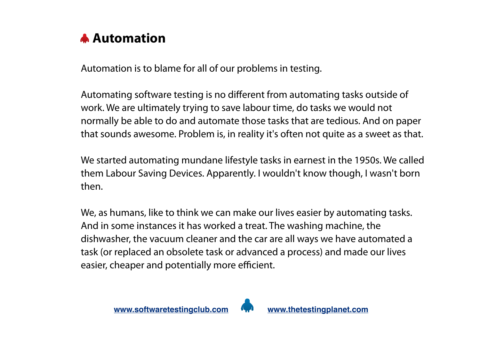

Automation is to blame for all of our problems in testing.

Automating software testing is no different from automating tasks outside of work. We are ultimately trying to save labour time, do tasks we would not normally be able to do and automate those tasks that are tedious. And on paper that sounds awesome. Problem is, in reality it's often not quite as a sweet as that.

We started automating mundane lifestyle tasks in earnest in the 1950s. We called them Labour Saving Devices. Apparently. I wouldn't know though, I wasn't born then.

We, as humans, like to think we can make our lives easier by automating tasks. And in some instances it has worked a treat. The washing machine, the dishwasher, the vacuum cleaner and the car are all ways we have automated a task (or replaced an obsolete task or advanced a process) and made our lives easier, cheaper and potentially more efficient.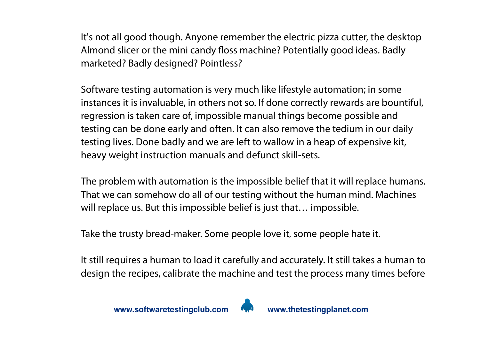It's not all good though. Anyone remember the electric pizza cutter, the desktop Almond slicer or the mini candy floss machine? Potentially good ideas. Badly marketed? Badly designed? Pointless?

Software testing automation is very much like lifestyle automation; in some instances it is invaluable, in others not so. If done correctly rewards are bountiful, regression is taken care of, impossible manual things become possible and testing can be done early and often. It can also remove the tedium in our daily testing lives. Done badly and we are left to wallow in a heap of expensive kit, heavy weight instruction manuals and defunct skill-sets.

The problem with automation is the impossible belief that it will replace humans. That we can somehow do all of our testing without the human mind. Machines will replace us. But this impossible belief is just that… impossible.

Take the trusty bread-maker. Some people love it, some people hate it.

It still requires a human to load it carefully and accurately. It still takes a human to design the recipes, calibrate the machine and test the process many times before

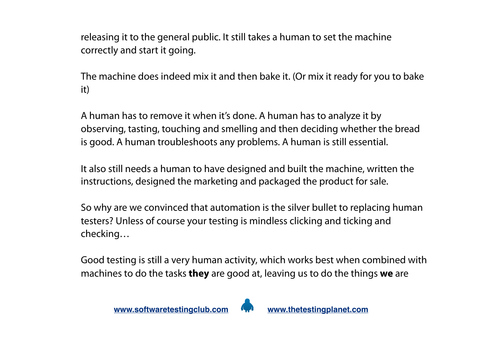releasing it to the general public. It still takes a human to set the machine correctly and start it going.

The machine does indeed mix it and then bake it. (Or mix it ready for you to bake it)

A human has to remove it when it's done. A human has to analyze it by observing, tasting, touching and smelling and then deciding whether the bread is good. A human troubleshoots any problems. A human is still essential.

It also still needs a human to have designed and built the machine, written the instructions, designed the marketing and packaged the product for sale.

So why are we convinced that automation is the silver bullet to replacing human testers? Unless of course your testing is mindless clicking and ticking and checking…

Good testing is still a very human activity, which works best when combined with machines to do the tasks **they** are good at, leaving us to do the things **we** are

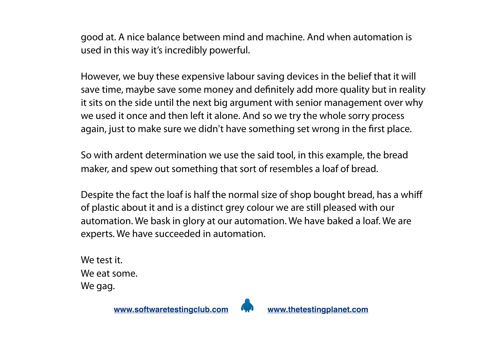good at. A nice balance between mind and machine. And when automation is used in this way it's incredibly powerful.

However, we buy these expensive labour saving devices in the belief that it will save time, maybe save some money and definitely add more quality but in reality it sits on the side until the next big argument with senior management over why we used it once and then left it alone. And so we try the whole sorry process again, just to make sure we didn't have something set wrong in the first place.

So with ardent determination we use the said tool, in this example, the bread maker, and spew out something that sort of resembles a loaf of bread.

Despite the fact the loaf is half the normal size of shop bought bread, has a whiff of plastic about it and is a distinct grey colour we are still pleased with our automation. We bask in glory at our automation. We have baked a loaf. We are experts. We have succeeded in automation.

We test it. We eat some. We gag.

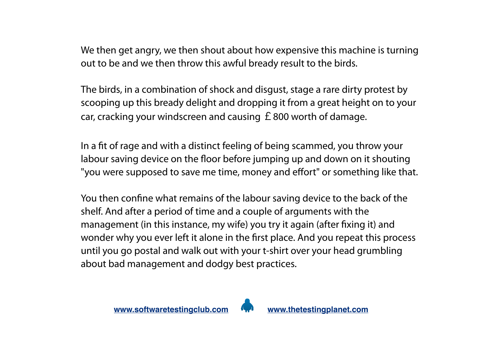We then get angry, we then shout about how expensive this machine is turning out to be and we then throw this awful bready result to the birds.

The birds, in a combination of shock and disgust, stage a rare dirty protest by scooping up this bready delight and dropping it from a great height on to your car, cracking your windscreen and causing  $E$  800 worth of damage.

In a fit of rage and with a distinct feeling of being scammed, you throw your labour saving device on the floor before jumping up and down on it shouting "you were supposed to save me time, money and effort" or something like that.

You then confine what remains of the labour saving device to the back of the shelf. And after a period of time and a couple of arguments with the management (in this instance, my wife) you try it again (after fixing it) and wonder why you ever left it alone in the first place. And you repeat this process until you go postal and walk out with your t-shirt over your head grumbling about bad management and dodgy best practices.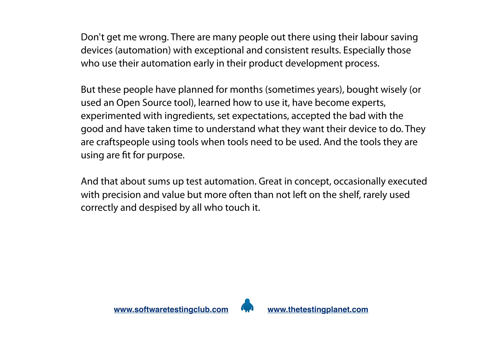Don't get me wrong. There are many people out there using their labour saving devices (automation) with exceptional and consistent results. Especially those who use their automation early in their product development process.

But these people have planned for months (sometimes years), bought wisely (or used an Open Source tool), learned how to use it, have become experts, experimented with ingredients, set expectations, accepted the bad with the good and have taken time to understand what they want their device to do. They are craftspeople using tools when tools need to be used. And the tools they are using are fit for purpose.

And that about sums up test automation. Great in concept, occasionally executed with precision and value but more often than not left on the shelf, rarely used correctly and despised by all who touch it.



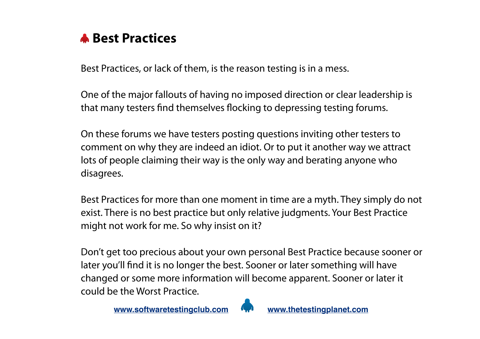

Best Practices, or lack of them, is the reason testing is in a mess.

One of the major fallouts of having no imposed direction or clear leadership is that many testers find themselves flocking to depressing testing forums.

On these forums we have testers posting questions inviting other testers to comment on why they are indeed an idiot. Or to put it another way we attract lots of people claiming their way is the only way and berating anyone who disagrees.

Best Practices for more than one moment in time are a myth. They simply do not exist. There is no best practice but only relative judgments. Your Best Practice might not work for me. So why insist on it?

Don't get too precious about your own personal Best Practice because sooner or later you'll find it is no longer the best. Sooner or later something will have changed or some more information will become apparent. Sooner or later it could be the Worst Practice.

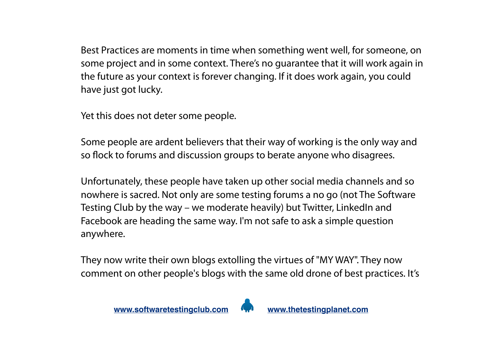Best Practices are moments in time when something went well, for someone, on some project and in some context. There's no guarantee that it will work again in the future as your context is forever changing. If it does work again, you could have just got lucky.

Yet this does not deter some people.

Some people are ardent believers that their way of working is the only way and so flock to forums and discussion groups to berate anyone who disagrees.

Unfortunately, these people have taken up other social media channels and so nowhere is sacred. Not only are some testing forums a no go (not The Software Testing Club by the way – we moderate heavily) but Twitter, LinkedIn and Facebook are heading the same way. I'm not safe to ask a simple question anywhere.

They now write their own blogs extolling the virtues of "MY WAY". They now comment on other people's blogs with the same old drone of best practices. It's

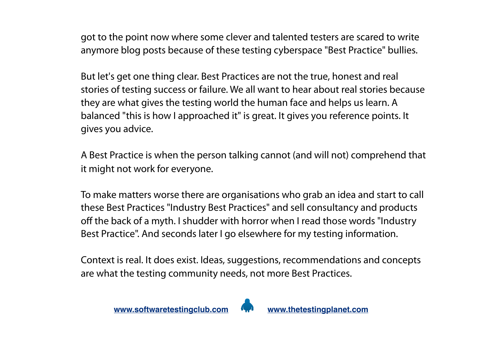got to the point now where some clever and talented testers are scared to write anymore blog posts because of these testing cyberspace "Best Practice" bullies.

But let's get one thing clear. Best Practices are not the true, honest and real stories of testing success or failure. We all want to hear about real stories because they are what gives the testing world the human face and helps us learn. A balanced "this is how I approached it" is great. It gives you reference points. It gives you advice.

A Best Practice is when the person talking cannot (and will not) comprehend that it might not work for everyone.

To make matters worse there are organisations who grab an idea and start to call these Best Practices "Industry Best Practices" and sell consultancy and products off the back of a myth. I shudder with horror when I read those words "Industry Best Practice". And seconds later I go elsewhere for my testing information.

Context is real. It does exist. Ideas, suggestions, recommendations and concepts are what the testing community needs, not more Best Practices.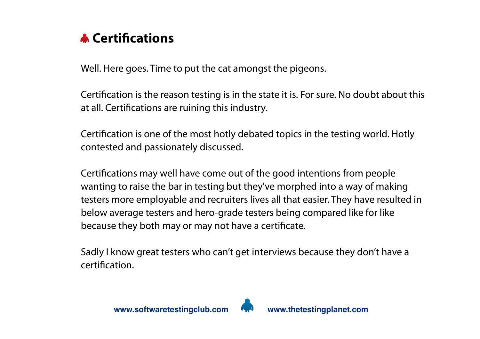

Well. Here goes. Time to put the cat amongst the pigeons.

Certification is the reason testing is in the state it is. For sure. No doubt about this at all. Certifications are ruining this industry.

Certification is one of the most hotly debated topics in the testing world. Hotly contested and passionately discussed.

Certifications may well have come out of the good intentions from people wanting to raise the bar in testing but they've morphed into a way of making testers more employable and recruiters lives all that easier. They have resulted in below average testers and hero-grade testers being compared like for like because they both may or may not have a certificate.

Sadly I know great testers who can't get interviews because they don't have a certification.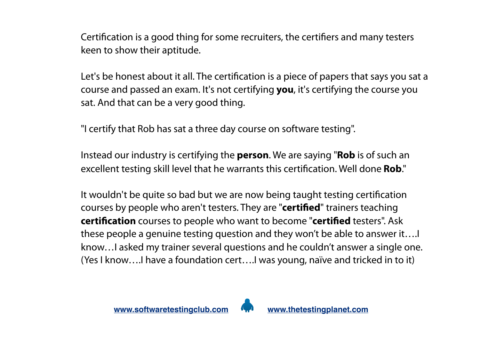Certification is a good thing for some recruiters, the certifiers and many testers keen to show their aptitude.

Let's be honest about it all. The certification is a piece of papers that says you sat a course and passed an exam. It's not certifying **you**, it's certifying the course you sat. And that can be a very good thing.

"I certify that Rob has sat a three day course on software testing".

Instead our industry is certifying the **person**. We are saying "**Rob** is of such an excellent testing skill level that he warrants this certification. Well done **Rob**."

It wouldn't be quite so bad but we are now being taught testing certification courses by people who aren't testers. They are "**certified**" trainers teaching **certification** courses to people who want to become "**certified** testers". Ask these people a genuine testing question and they won't be able to answer it….I know…I asked my trainer several questions and he couldn't answer a single one. (Yes I know….I have a foundation cert….I was young, naïve and tricked in to it)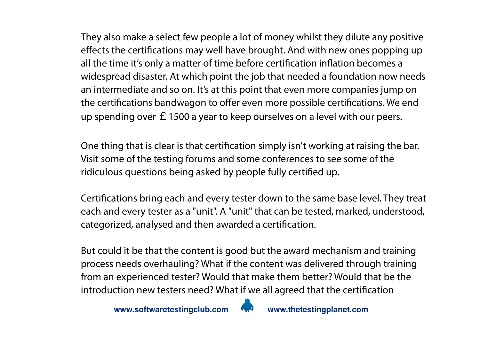They also make a select few people a lot of money whilst they dilute any positive effects the certifications may well have brought. And with new ones popping up all the time it's only a matter of time before certification inflation becomes a widespread disaster. At which point the job that needed a foundation now needs an intermediate and so on. It's at this point that even more companies jump on the certifications bandwagon to offer even more possible certifications. We end up spending over £1500 a year to keep ourselves on a level with our peers.

One thing that is clear is that certification simply isn't working at raising the bar. Visit some of the testing forums and some conferences to see some of the ridiculous questions being asked by people fully certified up.

Certifications bring each and every tester down to the same base level. They treat each and every tester as a "unit". A "unit" that can be tested, marked, understood, categorized, analysed and then awarded a certification.

But could it be that the content is good but the award mechanism and training process needs overhauling? What if the content was delivered through training from an experienced tester? Would that make them better? Would that be the introduction new testers need? What if we all agreed that the certification

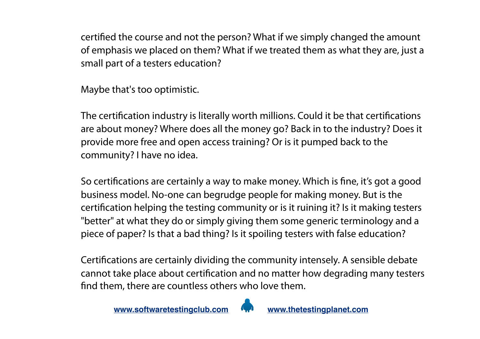certified the course and not the person? What if we simply changed the amount of emphasis we placed on them? What if we treated them as what they are, just a small part of a testers education?

Maybe that's too optimistic.

The certification industry is literally worth millions. Could it be that certifications are about money? Where does all the money go? Back in to the industry? Does it provide more free and open access training? Or is it pumped back to the community? I have no idea.

So certifications are certainly a way to make money. Which is fine, it's got a good business model. No-one can begrudge people for making money. But is the certification helping the testing community or is it ruining it? Is it making testers "better" at what they do or simply giving them some generic terminology and a piece of paper? Is that a bad thing? Is it spoiling testers with false education?

Certifications are certainly dividing the community intensely. A sensible debate cannot take place about certification and no matter how degrading many testers find them, there are countless others who love them.

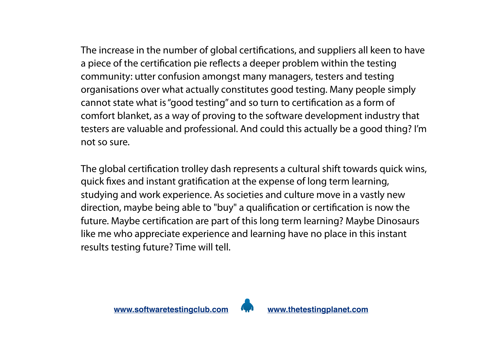The increase in the number of global certifications, and suppliers all keen to have a piece of the certification pie reflects a deeper problem within the testing community: utter confusion amongst many managers, testers and testing organisations over what actually constitutes good testing. Many people simply cannot state what is "good testing" and so turn to certification as a form of comfort blanket, as a way of proving to the software development industry that testers are valuable and professional. And could this actually be a good thing? I'm not so sure.

The global certification trolley dash represents a cultural shift towards quick wins, quick fixes and instant gratification at the expense of long term learning, studying and work experience. As societies and culture move in a vastly new direction, maybe being able to "buy" a qualification or certification is now the future. Maybe certification are part of this long term learning? Maybe Dinosaurs like me who appreciate experience and learning have no place in this instant results testing future? Time will tell.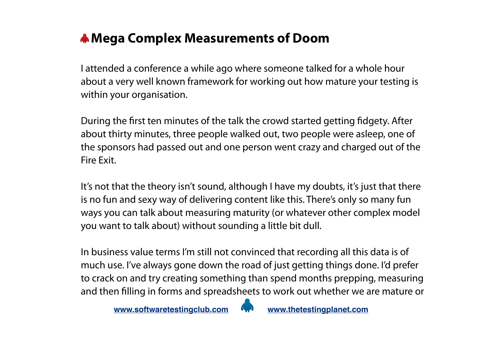### **Mega Complex Measurements of Doom**

I attended a conference a while ago where someone talked for a whole hour about a very well known framework for working out how mature your testing is within your organisation.

During the first ten minutes of the talk the crowd started getting fidgety. After about thirty minutes, three people walked out, two people were asleep, one of the sponsors had passed out and one person went crazy and charged out of the Fire Exit.

It's not that the theory isn't sound, although I have my doubts, it's just that there is no fun and sexy way of delivering content like this. There's only so many fun ways you can talk about measuring maturity (or whatever other complex model you want to talk about) without sounding a little bit dull.

In business value terms I'm still not convinced that recording all this data is of much use. I've always gone down the road of just getting things done. I'd prefer to crack on and try creating something than spend months prepping, measuring and then filling in forms and spreadsheets to work out whether we are mature or

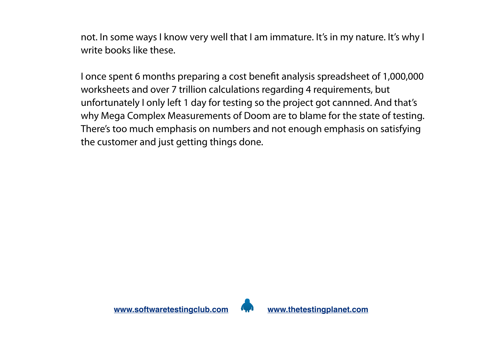not. In some ways I know very well that I am immature. It's in my nature. It's why I write books like these.

I once spent 6 months preparing a cost benefit analysis spreadsheet of 1,000,000 worksheets and over 7 trillion calculations regarding 4 requirements, but unfortunately I only left 1 day for testing so the project got cannned. And that's why Mega Complex Measurements of Doom are to blame for the state of testing. There's too much emphasis on numbers and not enough emphasis on satisfying the customer and just getting things done.

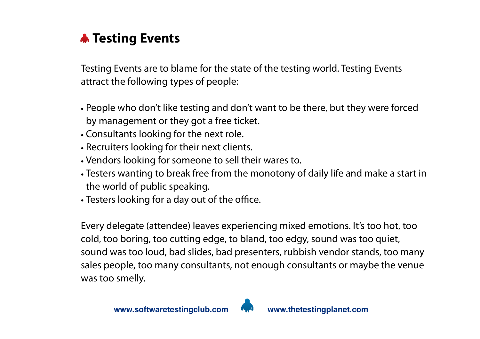

Testing Events are to blame for the state of the testing world. Testing Events attract the following types of people:

- People who don't like testing and don't want to be there, but they were forced by management or they got a free ticket.
- Consultants looking for the next role.
- Recruiters looking for their next clients.
- Vendors looking for someone to sell their wares to.
- Testers wanting to break free from the monotony of daily life and make a start in the world of public speaking.
- Testers looking for a day out of the office.

Every delegate (attendee) leaves experiencing mixed emotions. It's too hot, too cold, too boring, too cutting edge, to bland, too edgy, sound was too quiet, sound was too loud, bad slides, bad presenters, rubbish vendor stands, too many sales people, too many consultants, not enough consultants or maybe the venue was too smelly.

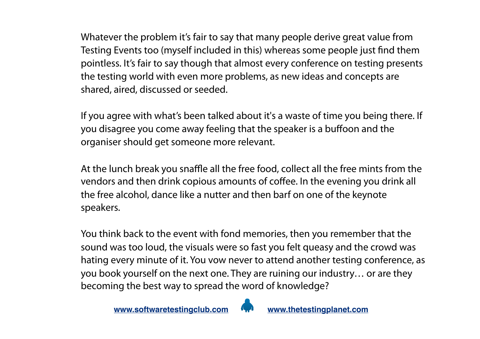Whatever the problem it's fair to say that many people derive great value from Testing Events too (myself included in this) whereas some people just find them pointless. It's fair to say though that almost every conference on testing presents the testing world with even more problems, as new ideas and concepts are shared, aired, discussed or seeded.

If you agree with what's been talked about it's a waste of time you being there. If you disagree you come away feeling that the speaker is a buffoon and the organiser should get someone more relevant.

At the lunch break you snaffle all the free food, collect all the free mints from the vendors and then drink copious amounts of coffee. In the evening you drink all the free alcohol, dance like a nutter and then barf on one of the keynote speakers.

You think back to the event with fond memories, then you remember that the sound was too loud, the visuals were so fast you felt queasy and the crowd was hating every minute of it. You vow never to attend another testing conference, as you book yourself on the next one. They are ruining our industry… or are they becoming the best way to spread the word of knowledge?

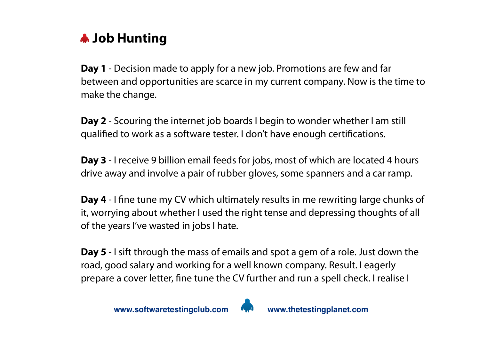### **Job Hunting**

**Day 1** - Decision made to apply for a new job. Promotions are few and far between and opportunities are scarce in my current company. Now is the time to make the change.

**Day 2** - Scouring the internet job boards I begin to wonder whether I am still qualified to work as a software tester. I don't have enough certifications.

**Day 3** - I receive 9 billion email feeds for jobs, most of which are located 4 hours drive away and involve a pair of rubber gloves, some spanners and a car ramp.

**Day 4** - I fine tune my CV which ultimately results in me rewriting large chunks of it, worrying about whether I used the right tense and depressing thoughts of all of the years I've wasted in jobs I hate.

**Day 5** - I sift through the mass of emails and spot a gem of a role. Just down the road, good salary and working for a well known company. Result. I eagerly prepare a cover letter, fine tune the CV further and run a spell check. I realise I

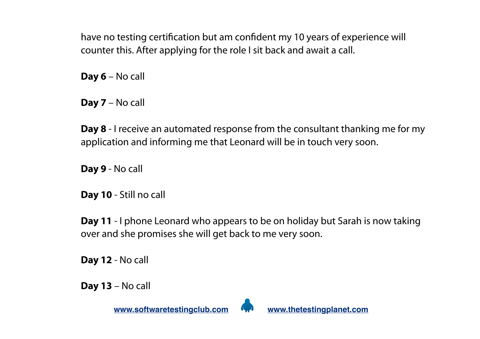have no testing certification but am confident my 10 years of experience will counter this. After applying for the role I sit back and await a call.

**Day 6** – No call

**Day 7** – No call

**Day 8** - I receive an automated response from the consultant thanking me for my application and informing me that Leonard will be in touch very soon.

**Day 9** - No call

**Day 10** - Still no call

**Day 11** - I phone Leonard who appears to be on holiday but Sarah is now taking over and she promises she will get back to me very soon.

**Day 12** - No call

**Day 13** – No call

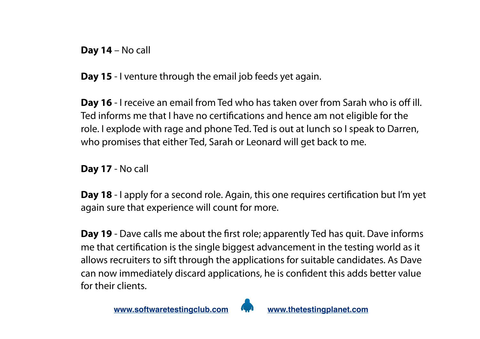**Day 14** – No call

**Day 15** - I venture through the email job feeds yet again.

**Day 16** - I receive an email from Ted who has taken over from Sarah who is off ill. Ted informs me that I have no certifications and hence am not eligible for the role. I explode with rage and phone Ted. Ted is out at lunch so I speak to Darren, who promises that either Ted, Sarah or Leonard will get back to me.

**Day 17** - No call

**Day 18** - I apply for a second role. Again, this one requires certification but I'm yet again sure that experience will count for more.

**Day 19** - Dave calls me about the first role; apparently Ted has quit. Dave informs me that certification is the single biggest advancement in the testing world as it allows recruiters to sift through the applications for suitable candidates. As Dave can now immediately discard applications, he is confident this adds better value for their clients.

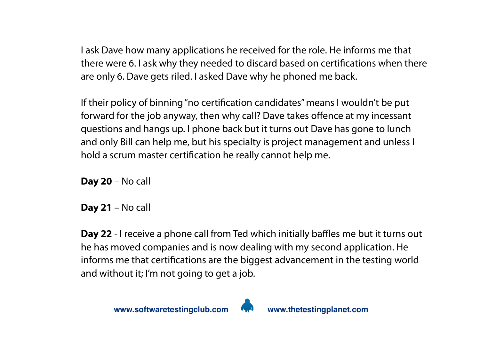I ask Dave how many applications he received for the role. He informs me that there were 6. I ask why they needed to discard based on certifications when there are only 6. Dave gets riled. I asked Dave why he phoned me back.

If their policy of binning "no certification candidates" means I wouldn't be put forward for the job anyway, then why call? Dave takes offence at my incessant questions and hangs up. I phone back but it turns out Dave has gone to lunch and only Bill can help me, but his specialty is project management and unless I hold a scrum master certification he really cannot help me.

**Day 20** – No call

**Day 21** – No call

**Day 22** - I receive a phone call from Ted which initially baffles me but it turns out he has moved companies and is now dealing with my second application. He informs me that certifications are the biggest advancement in the testing world and without it; I'm not going to get a job.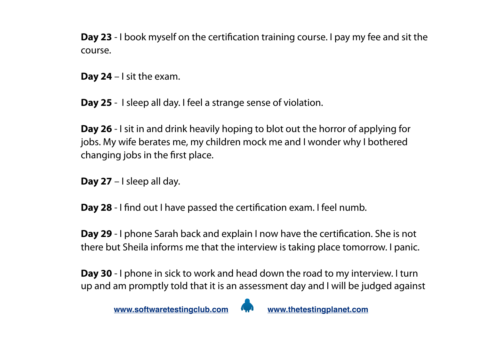**Day 23** - I book myself on the certification training course. I pay my fee and sit the course.

**Day 24** – I sit the exam.

**Day 25** - I sleep all day. I feel a strange sense of violation.

**Day 26** - I sit in and drink heavily hoping to blot out the horror of applying for jobs. My wife berates me, my children mock me and I wonder why I bothered changing jobs in the first place.

**Day 27** – I sleep all day.

**Day 28** - I find out I have passed the certification exam. I feel numb.

**Day 29** - I phone Sarah back and explain I now have the certification. She is not there but Sheila informs me that the interview is taking place tomorrow. I panic.

**Day 30** - I phone in sick to work and head down the road to my interview. I turn up and am promptly told that it is an assessment day and I will be judged against

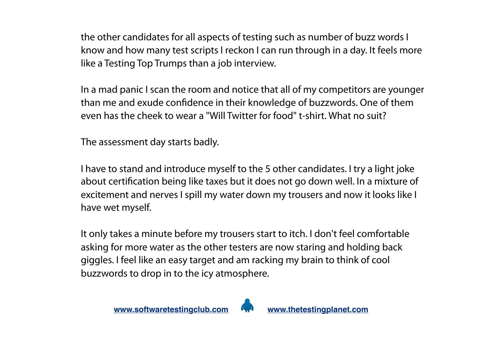the other candidates for all aspects of testing such as number of buzz words I know and how many test scripts I reckon I can run through in a day. It feels more like a Testing Top Trumps than a job interview.

In a mad panic I scan the room and notice that all of my competitors are younger than me and exude confidence in their knowledge of buzzwords. One of them even has the cheek to wear a "Will Twitter for food" t-shirt. What no suit?

The assessment day starts badly.

I have to stand and introduce myself to the 5 other candidates. I try a light joke about certification being like taxes but it does not go down well. In a mixture of excitement and nerves I spill my water down my trousers and now it looks like I have wet myself.

It only takes a minute before my trousers start to itch. I don't feel comfortable asking for more water as the other testers are now staring and holding back giggles. I feel like an easy target and am racking my brain to think of cool buzzwords to drop in to the icy atmosphere.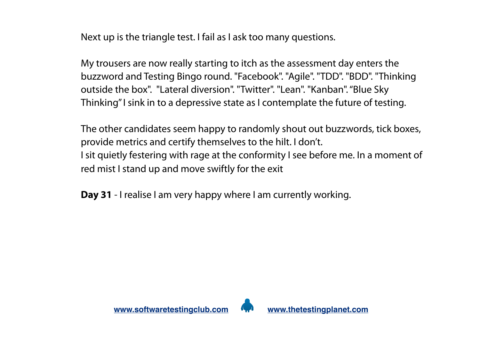Next up is the triangle test. I fail as I ask too many questions.

My trousers are now really starting to itch as the assessment day enters the buzzword and Testing Bingo round. "Facebook". "Agile". "TDD". "BDD". "Thinking outside the box". "Lateral diversion". "Twitter". "Lean". "Kanban". "Blue Sky Thinking" I sink in to a depressive state as I contemplate the future of testing.

The other candidates seem happy to randomly shout out buzzwords, tick boxes, provide metrics and certify themselves to the hilt. I don't. I sit quietly festering with rage at the conformity I see before me. In a moment of red mist I stand up and move swiftly for the exit

**Day 31** - I realise I am very happy where I am currently working.

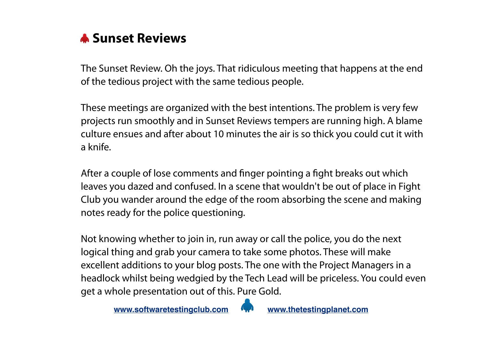

The Sunset Review. Oh the joys. That ridiculous meeting that happens at the end of the tedious project with the same tedious people.

These meetings are organized with the best intentions. The problem is very few projects run smoothly and in Sunset Reviews tempers are running high. A blame culture ensues and after about 10 minutes the air is so thick you could cut it with a knife.

After a couple of lose comments and finger pointing a fight breaks out which leaves you dazed and confused. In a scene that wouldn't be out of place in Fight Club you wander around the edge of the room absorbing the scene and making notes ready for the police questioning.

Not knowing whether to join in, run away or call the police, you do the next logical thing and grab your camera to take some photos. These will make excellent additions to your blog posts. The one with the Project Managers in a headlock whilst being wedgied by the Tech Lead will be priceless. You could even get a whole presentation out of this. Pure Gold.

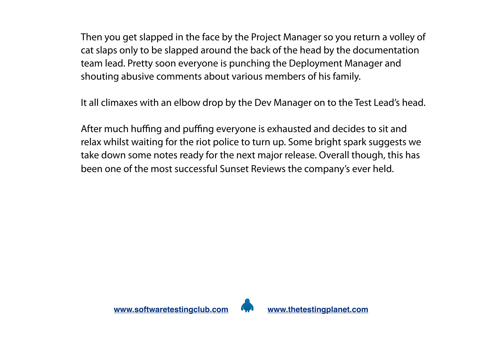Then you get slapped in the face by the Project Manager so you return a volley of cat slaps only to be slapped around the back of the head by the documentation team lead. Pretty soon everyone is punching the Deployment Manager and shouting abusive comments about various members of his family.

It all climaxes with an elbow drop by the Dev Manager on to the Test Lead's head.

After much huffing and puffing everyone is exhausted and decides to sit and relax whilst waiting for the riot police to turn up. Some bright spark suggests we take down some notes ready for the next major release. Overall though, this has been one of the most successful Sunset Reviews the company's ever held.

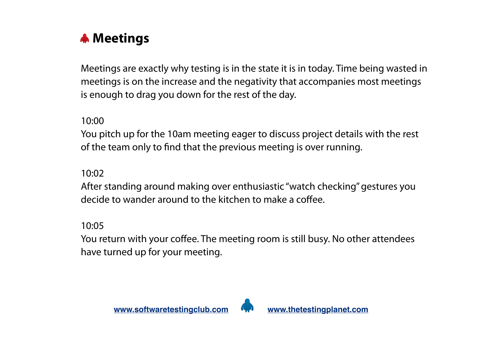

Meetings are exactly why testing is in the state it is in today. Time being wasted in meetings is on the increase and the negativity that accompanies most meetings is enough to drag you down for the rest of the day.

10:00

You pitch up for the 10am meeting eager to discuss project details with the rest of the team only to find that the previous meeting is over running.

10:02

After standing around making over enthusiastic "watch checking" gestures you decide to wander around to the kitchen to make a coffee.

10:05

You return with your coffee. The meeting room is still busy. No other attendees have turned up for your meeting.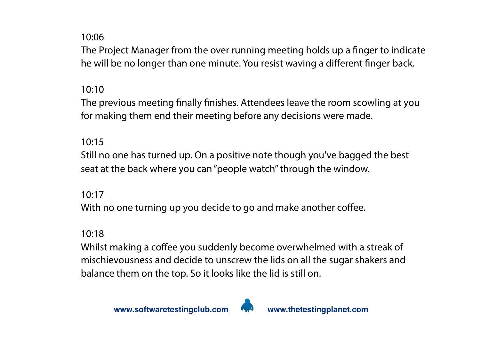The Project Manager from the over running meeting holds up a finger to indicate he will be no longer than one minute. You resist waving a different finger back.

#### 10:10

The previous meeting finally finishes. Attendees leave the room scowling at you for making them end their meeting before any decisions were made.

#### 10:15

Still no one has turned up. On a positive note though you've bagged the best seat at the back where you can "people watch" through the window.

#### 10:17

With no one turning up you decide to go and make another coffee.

#### 10:18

Whilst making a coffee you suddenly become overwhelmed with a streak of mischievousness and decide to unscrew the lids on all the sugar shakers and balance them on the top. So it looks like the lid is still on.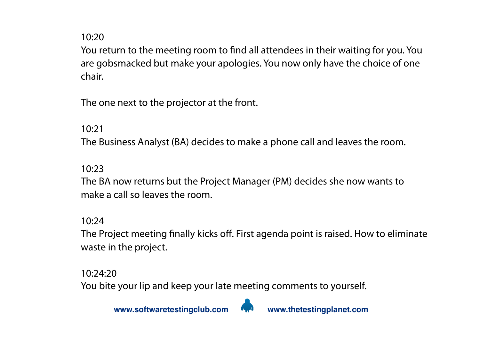You return to the meeting room to find all attendees in their waiting for you. You are gobsmacked but make your apologies. You now only have the choice of one chair.

The one next to the projector at the front.

10:21

The Business Analyst (BA) decides to make a phone call and leaves the room.

10:23

The BA now returns but the Project Manager (PM) decides she now wants to make a call so leaves the room.

10:24

The Project meeting finally kicks off. First agenda point is raised. How to eliminate waste in the project.

10:24:20

You bite your lip and keep your late meeting comments to yourself.

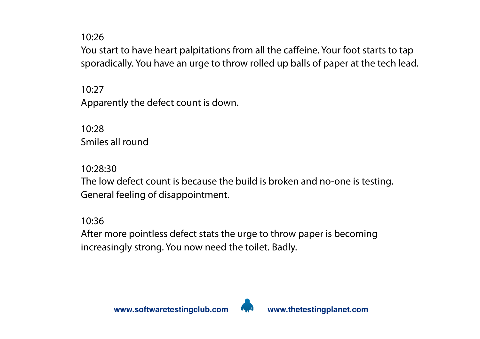You start to have heart palpitations from all the caffeine. Your foot starts to tap sporadically. You have an urge to throw rolled up balls of paper at the tech lead.

10:27 Apparently the defect count is down.

10:28 Smiles all round

10:28:30 The low defect count is because the build is broken and no-one is testing. General feeling of disappointment.

10:36

After more pointless defect stats the urge to throw paper is becoming increasingly strong. You now need the toilet. Badly.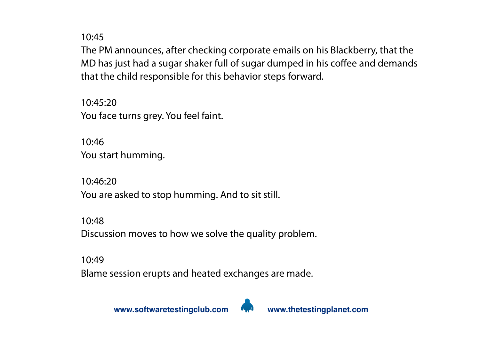The PM announces, after checking corporate emails on his Blackberry, that the MD has just had a sugar shaker full of sugar dumped in his coffee and demands that the child responsible for this behavior steps forward.

10:45:20 You face turns grey. You feel faint.

10:46 You start humming.

10:46:20 You are asked to stop humming. And to sit still.

10:48 Discussion moves to how we solve the quality problem.

#### 10:49

Blame session erupts and heated exchanges are made.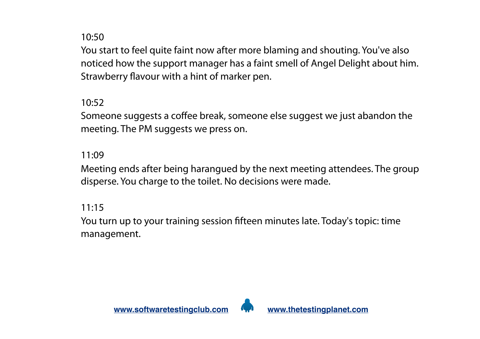You start to feel quite faint now after more blaming and shouting. You've also noticed how the support manager has a faint smell of Angel Delight about him. Strawberry flavour with a hint of marker pen.

10:52

Someone suggests a coffee break, someone else suggest we just abandon the meeting. The PM suggests we press on.

#### 11:09

Meeting ends after being harangued by the next meeting attendees. The group disperse. You charge to the toilet. No decisions were made.

11:15

You turn up to your training session fifteen minutes late. Today's topic: time management.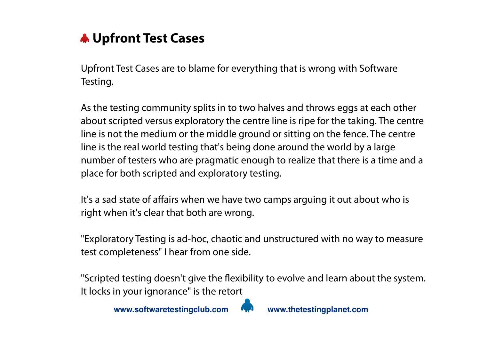

Upfront Test Cases are to blame for everything that is wrong with Software Testing.

As the testing community splits in to two halves and throws eggs at each other about scripted versus exploratory the centre line is ripe for the taking. The centre line is not the medium or the middle ground or sitting on the fence. The centre line is the real world testing that's being done around the world by a large number of testers who are pragmatic enough to realize that there is a time and a place for both scripted and exploratory testing.

It's a sad state of affairs when we have two camps arguing it out about who is right when it's clear that both are wrong.

"Exploratory Testing is ad-hoc, chaotic and unstructured with no way to measure test completeness" I hear from one side.

"Scripted testing doesn't give the flexibility to evolve and learn about the system. It locks in your ignorance" is the retort

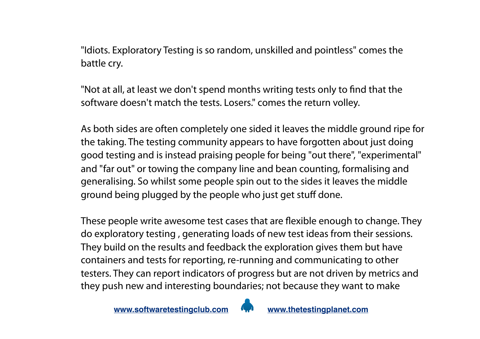"Idiots. Exploratory Testing is so random, unskilled and pointless" comes the battle cry.

"Not at all, at least we don't spend months writing tests only to find that the software doesn't match the tests. Losers." comes the return volley.

As both sides are often completely one sided it leaves the middle ground ripe for the taking. The testing community appears to have forgotten about just doing good testing and is instead praising people for being "out there", "experimental" and "far out" or towing the company line and bean counting, formalising and generalising. So whilst some people spin out to the sides it leaves the middle ground being plugged by the people who just get stuff done.

These people write awesome test cases that are flexible enough to change. They do exploratory testing , generating loads of new test ideas from their sessions. They build on the results and feedback the exploration gives them but have containers and tests for reporting, re-running and communicating to other testers. They can report indicators of progress but are not driven by metrics and they push new and interesting boundaries; not because they want to make

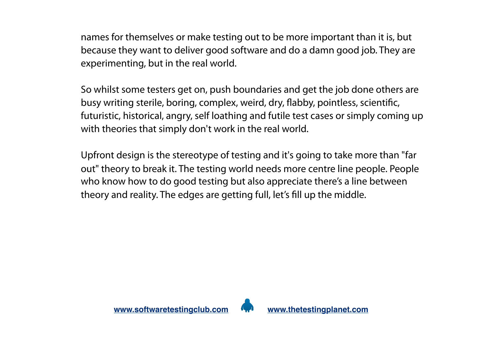names for themselves or make testing out to be more important than it is, but because they want to deliver good software and do a damn good job. They are experimenting, but in the real world.

So whilst some testers get on, push boundaries and get the job done others are busy writing sterile, boring, complex, weird, dry, flabby, pointless, scientific, futuristic, historical, angry, self loathing and futile test cases or simply coming up with theories that simply don't work in the real world.

Upfront design is the stereotype of testing and it's going to take more than "far out" theory to break it. The testing world needs more centre line people. People who know how to do good testing but also appreciate there's a line between theory and reality. The edges are getting full, let's fill up the middle.

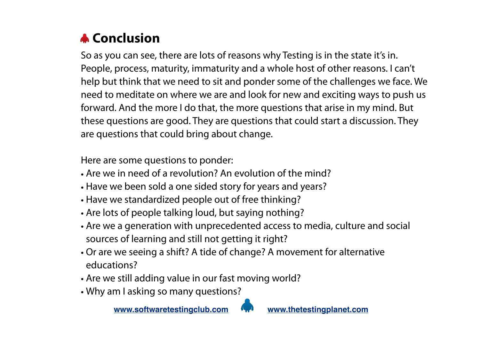# **A** Conclusion

So as you can see, there are lots of reasons why Testing is in the state it's in. People, process, maturity, immaturity and a whole host of other reasons. I can't help but think that we need to sit and ponder some of the challenges we face. We need to meditate on where we are and look for new and exciting ways to push us forward. And the more I do that, the more questions that arise in my mind. But these questions are good. They are questions that could start a discussion. They are questions that could bring about change.

Here are some questions to ponder:

- Are we in need of a revolution? An evolution of the mind?
- Have we been sold a one sided story for years and years?
- Have we standardized people out of free thinking?
- Are lots of people talking loud, but saying nothing?
- Are we a generation with unprecedented access to media, culture and social sources of learning and still not getting it right?
- Or are we seeing a shift? A tide of change? A movement for alternative educations?
- Are we still adding value in our fast moving world?
- Why am I asking so many questions?

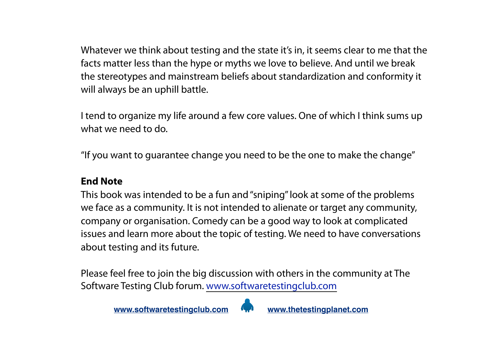Whatever we think about testing and the state it's in, it seems clear to me that the facts matter less than the hype or myths we love to believe. And until we break the stereotypes and mainstream beliefs about standardization and conformity it will always be an uphill battle.

I tend to organize my life around a few core values. One of which I think sums up what we need to do.

"If you want to guarantee change you need to be the one to make the change"

#### **End Note**

This book was intended to be a fun and "sniping" look at some of the problems we face as a community. It is not intended to alienate or target any community, company or organisation. Comedy can be a good way to look at complicated issues and learn more about the topic of testing. We need to have conversations about testing and its future.

Please feel free to join the big discussion with others in the community at The Software Testing Club forum. [www.softwaretestingclub.com](http://www.softwaretestingclub.com/)